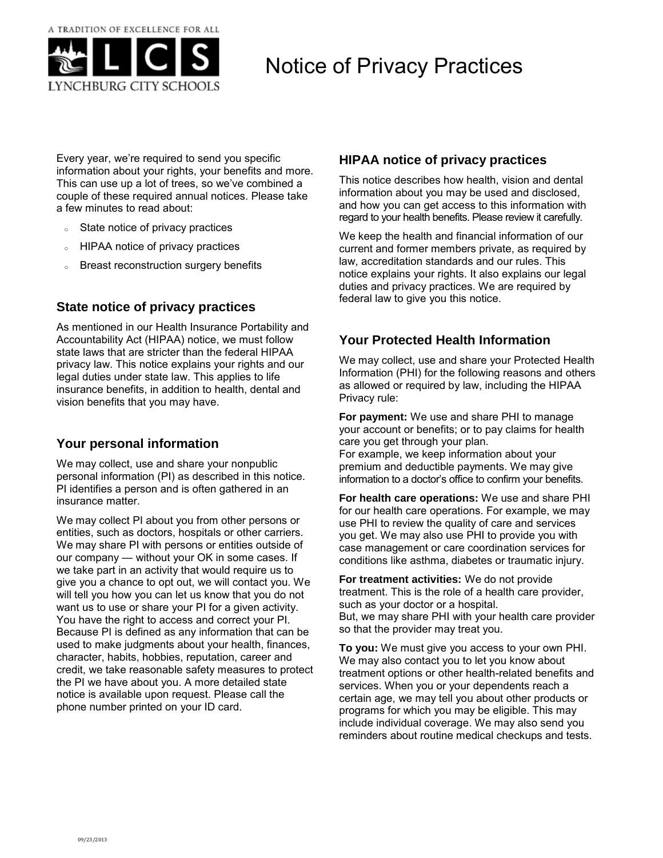

# Notice of Privacy Practices

Every year, we're required to send you specific information about your rights, your benefits and more. This can use up a lot of trees, so we've combined a couple of these required annual notices. Please take a few minutes to read about:

- o State notice of privacy practices
- **EXTERG** HIPAA notice of privacy practices
- o Breast reconstruction surgery benefits

### **State notice of privacy practices**

As mentioned in our Health Insurance Portability and Accountability Act (HIPAA) notice, we must follow state laws that are stricter than the federal HIPAA privacy law. This notice explains your rights and our legal duties under state law. This applies to life insurance benefits, in addition to health, dental and vision benefits that you may have.

### **Your personal information**

We may collect, use and share your nonpublic personal information (PI) as described in this notice. PI identifies a person and is often gathered in an insurance matter.

We may collect PI about you from other persons or entities, such as doctors, hospitals or other carriers. We may share PI with persons or entities outside of our company — without your OK in some cases. If we take part in an activity that would require us to give you a chance to opt out, we will contact you. We will tell you how you can let us know that you do not want us to use or share your PI for a given activity. You have the right to access and correct your PI. Because PI is defined as any information that can be used to make judgments about your health, finances, character, habits, hobbies, reputation, career and credit, we take reasonable safety measures to protect the PI we have about you. A more detailed state notice is available upon request. Please call the phone number printed on your ID card.

## **HIPAA notice of privacy practices**

This notice describes how health, vision and dental information about you may be used and disclosed, and how you can get access to this information with regard to your health benefits. Please review it carefully.

We keep the health and financial information of our current and former members private, as required by law, accreditation standards and our rules. This notice explains your rights. It also explains our legal duties and privacy practices. We are required by federal law to give you this notice.

# **Your Protected Health Information**

We may collect, use and share your Protected Health Information (PHI) for the following reasons and others as allowed or required by law, including the HIPAA Privacy rule:

**For payment:** We use and share PHI to manage your account or benefits; or to pay claims for health care you get through your plan. For example, we keep information about your premium and deductible payments. We may give information to a doctor's office to confirm your benefits.

**For health care operations:** We use and share PHI for our health care operations. For example, we may use PHI to review the quality of care and services you get. We may also use PHI to provide you with case management or care coordination services for conditions like asthma, diabetes or traumatic injury.

**For treatment activities:** We do not provide treatment. This is the role of a health care provider, such as your doctor or a hospital. But, we may share PHI with your health care provider so that the provider may treat you.

**To you:** We must give you access to your own PHI. We may also contact you to let you know about treatment options or other health-related benefits and services. When you or your dependents reach a certain age, we may tell you about other products or programs for which you may be eligible. This may include individual coverage. We may also send you reminders about routine medical checkups and tests.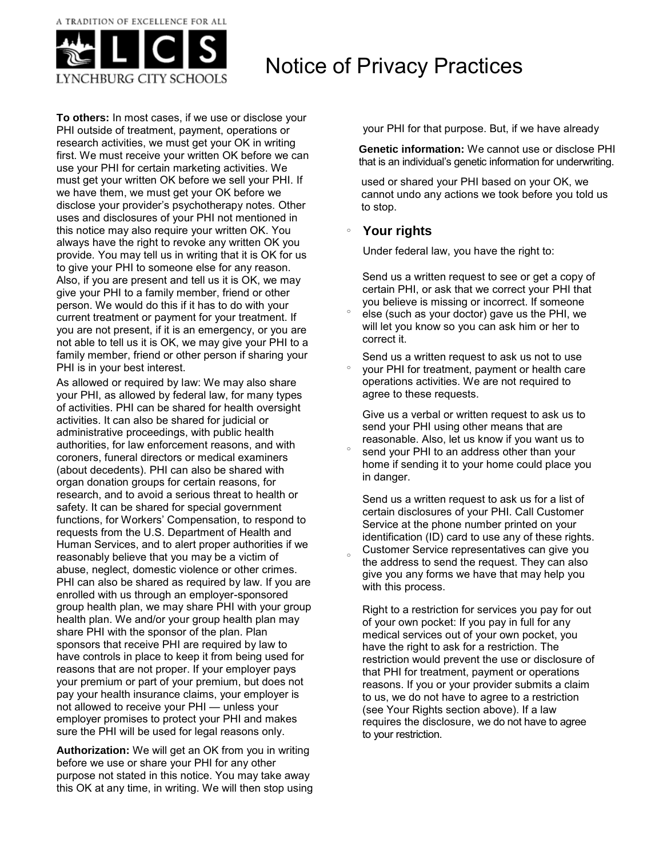

**Notice of Privacy Practices**<br>LYNCHBURG CITY SCHOOLS

**To others:** In most cases, if we use or disclose your PHI outside of treatment, payment, operations or research activities, we must get your OK in writing first. We must receive your written OK before we can use your PHI for certain marketing activities. We must get your written OK before we sell your PHI. If we have them, we must get your OK before we disclose your provider's psychotherapy notes. Other uses and disclosures of your PHI not mentioned in this notice may also require your written OK. You always have the right to revoke any written OK you provide. You may tell us in writing that it is OK for us to give your PHI to someone else for any reason. Also, if you are present and tell us it is OK, we may give your PHI to a family member, friend or other person. We would do this if it has to do with your current treatment or payment for your treatment. If you are not present, if it is an emergency, or you are not able to tell us it is OK, we may give your PHI to a family member, friend or other person if sharing your PHI is in your best interest.

As allowed or required by law: We may also share your PHI, as allowed by federal law, for many types of activities. PHI can be shared for health oversight activities. It can also be shared for judicial or administrative proceedings, with public health authorities, for law enforcement reasons, and with coroners, funeral directors or medical examiners (about decedents). PHI can also be shared with organ donation groups for certain reasons, for research, and to avoid a serious threat to health or safety. It can be shared for special government functions, for Workers' Compensation, to respond to requests from the U.S. Department of Health and Human Services, and to alert proper authorities if we reasonably believe that you may be a victim of abuse, neglect, domestic violence or other crimes. PHI can also be shared as required by law. If you are enrolled with us through an employer-sponsored group health plan, we may share PHI with your group health plan. We and/or your group health plan may share PHI with the sponsor of the plan. Plan sponsors that receive PHI are required by law to have controls in place to keep it from being used for reasons that are not proper. If your employer pays your premium or part of your premium, but does not pay your health insurance claims, your employer is not allowed to receive your PHI — unless your employer promises to protect your PHI and makes sure the PHI will be used for legal reasons only.

**Authorization:** We will get an OK from you in writing before we use or share your PHI for any other purpose not stated in this notice. You may take away this OK at any time, in writing. We will then stop using your PHI for that purpose. But, if we have already

**Genetic information:** We cannot use or disclose PHI that is an individual's genetic information for underwriting.

used or shared your PHI based on your OK, we cannot undo any actions we took before you told us to stop.

#### **Your rights**  o

o

Under federal law, you have the right to:

Send us a written request to see or get a copy of certain PHI, or ask that we correct your PHI that you believe is missing or incorrect. If someone

else (such as your doctor) gave us the PHI, we will let you know so you can ask him or her to correct it. o

Send us a written request to ask us not to use your PHI for treatment, payment or health care operations activities. We are not required to agree to these requests. o

Give us a verbal or written request to ask us to send your PHI using other means that are reasonable. Also, let us know if you want us to

send your PHI to an address other than your home if sending it to your home could place you in danger. o

Send us a written request to ask us for a list of certain disclosures of your PHI. Call Customer Service at the phone number printed on your identification (ID) card to use any of these rights. Customer Service representatives can give you the address to send the request. They can also give you any forms we have that may help you with this process.

Right to a restriction for services you pay for out of your own pocket: If you pay in full for any medical services out of your own pocket, you have the right to ask for a restriction. The restriction would prevent the use or disclosure of that PHI for treatment, payment or operations reasons. If you or your provider submits a claim to us, we do not have to agree to a restriction (see Your Rights section above). If a law requires the disclosure, we do not have to agree to your restriction.